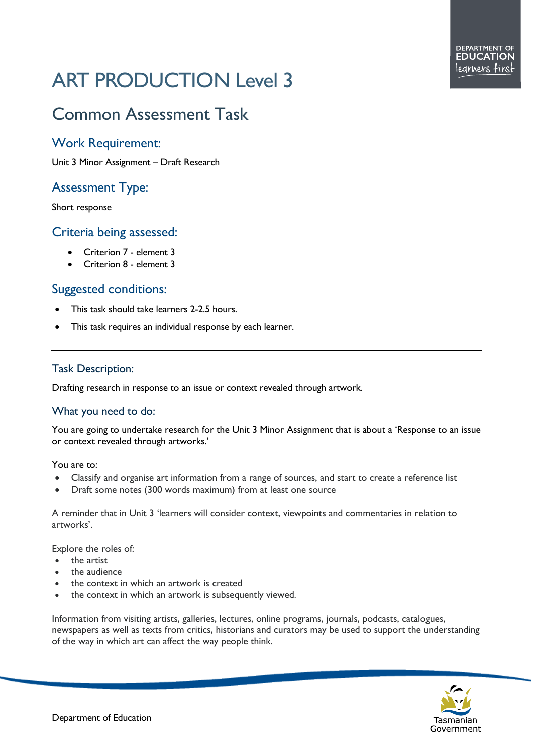# ART PRODUCTION Level 3

## Common Assessment Task

#### Work Requirement:

Unit 3 Minor Assignment – Draft Research

### Assessment Type:

Short response

#### Criteria being assessed:

- Criterion 7 element 3
- Criterion 8 element 3

#### Suggested conditions:

- This task should take learners 2-2.5 hours.
- This task requires an individual response by each learner.

#### Task Description:

Drafting research in response to an issue or context revealed through artwork.

#### What you need to do:

You are going to undertake research for the Unit 3 Minor Assignment that is about a 'Response to an issue or context revealed through artworks.'

You are to:

- Classify and organise art information from a range of sources, and start to create a reference list
- Draft some notes (300 words maximum) from at least one source

A reminder that in Unit 3 'learners will consider context, viewpoints and commentaries in relation to artworks'.

Explore the roles of:

- the artist
- the audience
- the context in which an artwork is created
- the context in which an artwork is subsequently viewed.

Information from visiting artists, galleries, lectures, online programs, journals, podcasts, catalogues, newspapers as well as texts from critics, historians and curators may be used to support the understanding of the way in which art can affect the way people think.